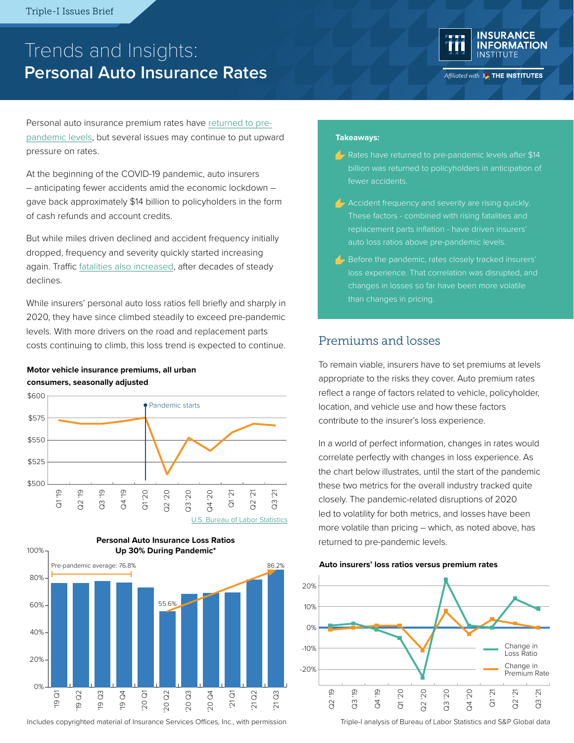# Trends and Insights: **Personal Auto Insurance Rates**



Affiliated with **BE THE INSTITUTES** 

Personal auto insurance premium rates have [returned to pre](https://www.iii.org/article/infographic-whats-happening-with-auto-insurance-rates)[pandemic levels](https://www.iii.org/article/infographic-whats-happening-with-auto-insurance-rates), but several issues may continue to put upward pressure on rates.

At the beginning of the COVID-19 pandemic, auto insurers – anticipating fewer accidents amid the economic lockdown – gave back approximately \$14 billion to policyholders in the form of cash refunds and account credits.

But while miles driven declined and accident frequency initially dropped, frequency and severity quickly started increasing again. Traffic [fatalities also increased](https://www.iii.org/insuranceindustryblog/acting-to-curb-rising-auto-fatalities/), after decades of steady declines.

While insurers' personal auto loss ratios fell briefly and sharply in 2020, they have since climbed steadily to exceed pre-pandemic levels. With more drivers on the road and replacement parts costs continuing to climb, this loss trend is expected to continue.

#### **Motor vehicle insurance premiums, all urban consumers, seasonally adjusted**





Includes copyrighted material of Insurance Services Offices, Inc., with permission

#### **Takeaways:**

- $\triangle$  Rates have returned to pre-pandemic levels after \$14 billion was returned to policyholders in anticipation of fewer accidents.
- $\triangle$  Accident frequency and severity are rising quickly. replacement parts inflation - have driven insurers'
- $\blacktriangle$  Before the pandemic, rates closely tracked insurers' loss experience. That correlation was disrupted, and changes in losses so far have been more volatile than changes in pricing.

#### Premiums and losses

To remain viable, insurers have to set premiums at levels appropriate to the risks they cover. Auto premium rates reflect a range of factors related to vehicle, policyholder, location, and vehicle use and how these factors contribute to the insurer's loss experience.

In a world of perfect information, changes in rates would correlate perfectly with changes in loss experience. As the chart below illustrates, until the start of the pandemic these two metrics for the overall industry tracked quite closely. The pandemic-related disruptions of 2020 led to volatility for both metrics, and losses have been more volatile than pricing – which, as noted above, has





Triple-I analysis of Bureau of Labor Statistics and S&P Global data